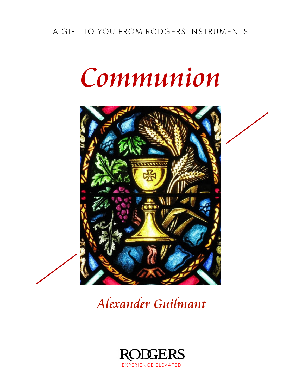## Communion



## Alexander Guilmant

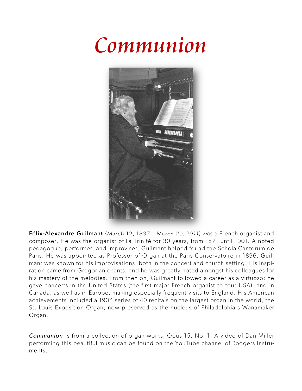## Communion



Félix-Alexandre Guilmant (March 12, 1837 – March 29, 1911) was a French organist and composer. He was the organist of La Trinité for 30 years, from 1871 until 1901. A noted pedagogue, performer, and improviser, Guilmant helped found the Schola Cantorum de Paris. He was appointed as Professor of Organ at the Paris Conservatoire in 1896. Guilmant was known for his improvisations, both in the concert and church setting. His inspiration came from Gregorian chants, and he was greatly noted amongst his colleagues for his mastery of the melodies. From then on, Guilmant followed a career as a virtuoso; he gave concerts in the United States (the first major French organist to tour USA), and in Canada, as well as in Europe, making especially frequent visits to England. His American achievements included a 1904 series of 40 recitals on the largest organ in the world, the St. Louis Exposition Organ, now preserved as the nucleus of Philadelphia's Wanamaker Organ.

*Communion* is from a collection of organ works, Opus 15, No. 1. A video of Dan Miller performing this beautiful music can be found on the YouTube channel of Rodgers Instruments.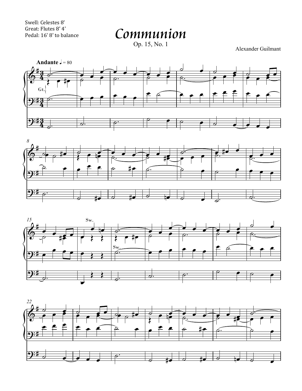Swell: Celestes 8' Great: Flutes 8' 4' Pedal: 16' 8' to balance

 $\underset{\mathrm{Op.15, No.1}}{\text{Communion}}$ 

Alexander Guilmant







![](_page_2_Figure_7.jpeg)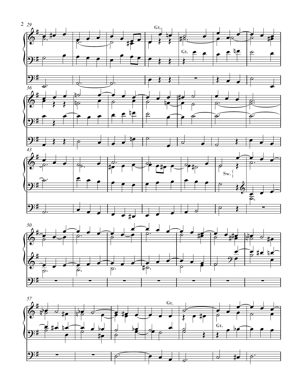![](_page_3_Figure_0.jpeg)

![](_page_3_Figure_1.jpeg)

![](_page_3_Figure_2.jpeg)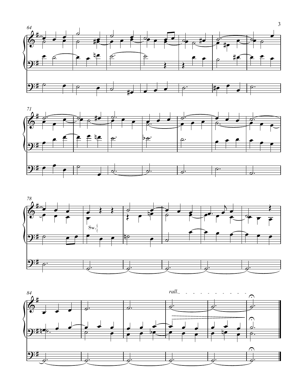![](_page_4_Figure_0.jpeg)

![](_page_4_Figure_1.jpeg)

![](_page_4_Figure_2.jpeg)

![](_page_4_Figure_3.jpeg)